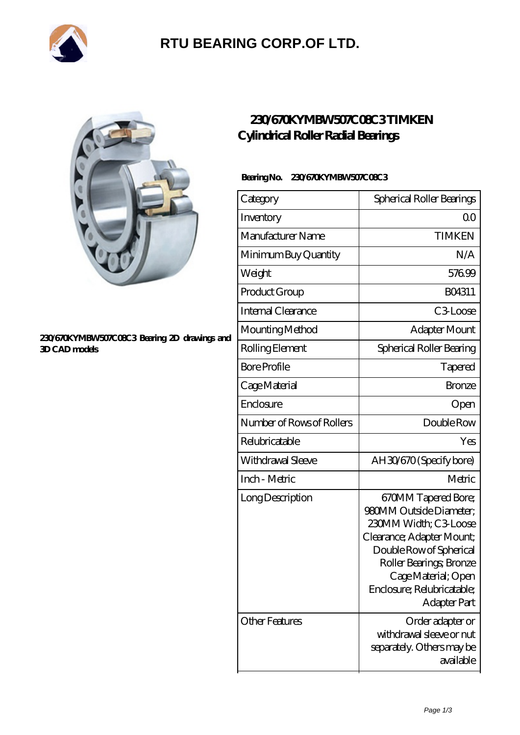

# **[RTU BEARING CORP.OF LTD.](https://arkcalledearth.org)**



#### **[230/670KYMBW507C08C3 Bearing 2D drawings and](https://arkcalledearth.org/pic-630025.html) [3D CAD models](https://arkcalledearth.org/pic-630025.html)**

### **[230/670KYMBW507C08C3 TIMKEN](https://arkcalledearth.org/cylindrical-roller-radial-bearings/230-670kymbw507c08c3.html) [Cylindrical Roller Radial Bearings](https://arkcalledearth.org/cylindrical-roller-radial-bearings/230-670kymbw507c08c3.html)**

#### Bearing No. 230/670KYMBW507C08C3

| Category                  | Spherical Roller Bearings                                                                                                                                                                                                              |
|---------------------------|----------------------------------------------------------------------------------------------------------------------------------------------------------------------------------------------------------------------------------------|
| Inventory                 | Q0                                                                                                                                                                                                                                     |
| Manufacturer Name         | <b>TIMKEN</b>                                                                                                                                                                                                                          |
| Minimum Buy Quantity      | N/A                                                                                                                                                                                                                                    |
| Weight                    | 57699                                                                                                                                                                                                                                  |
| Product Group             | BO4311                                                                                                                                                                                                                                 |
| Internal Clearance        | C3Loose                                                                                                                                                                                                                                |
| Mounting Method           | Adapter Mount                                                                                                                                                                                                                          |
| Rolling Element           | Spherical Roller Bearing                                                                                                                                                                                                               |
| <b>Bore Profile</b>       | Tapered                                                                                                                                                                                                                                |
| Cage Material             | <b>Bronze</b>                                                                                                                                                                                                                          |
| Enclosure                 | Open                                                                                                                                                                                                                                   |
| Number of Rows of Rollers | Double Row                                                                                                                                                                                                                             |
| Relubricatable            | Yes                                                                                                                                                                                                                                    |
| Withdrawal Sleeve         | AH30/670 (Specify bore)                                                                                                                                                                                                                |
| Inch - Metric             | Metric                                                                                                                                                                                                                                 |
| Long Description          | 670MM Tapered Bore;<br>980MM Outside Diameter;<br>230MM Width; C3 Loose<br>Clearance; Adapter Mount;<br>Double Row of Spherical<br>Roller Bearings, Bronze<br>Cage Material; Open<br>Enclosure; Relubricatable;<br><b>Adapter Part</b> |
| Other Features            | Order adapter or<br>withdrawal sleeve or nut<br>separately. Others may be<br>available                                                                                                                                                 |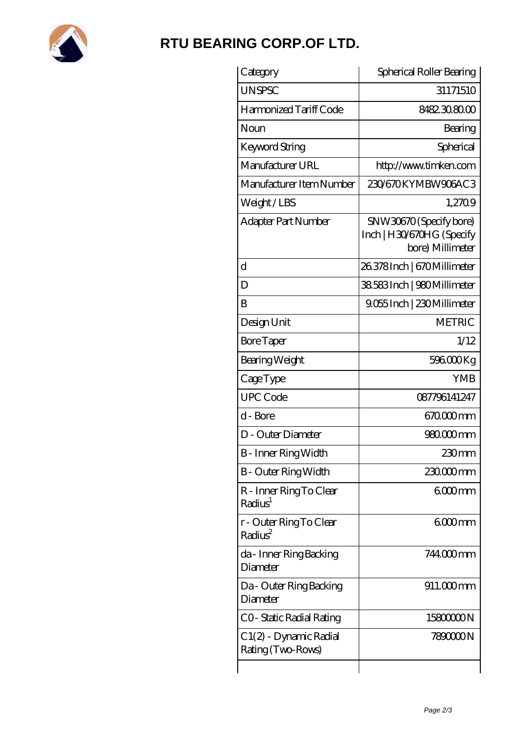

## **[RTU BEARING CORP.OF LTD.](https://arkcalledearth.org)**

| Category                                       | Spherical Roller Bearing                                                 |
|------------------------------------------------|--------------------------------------------------------------------------|
| <b>UNSPSC</b>                                  | 31171510                                                                 |
| Harmonized Tariff Code                         | 8482.30.80.00                                                            |
| Noun                                           | Bearing                                                                  |
| Keyword String                                 | Spherical                                                                |
| Manufacturer URL                               | http://www.timken.com                                                    |
| Manufacturer Item Number                       | 230/670KYMBW906AC3                                                       |
| Weight/LBS                                     | 1,2709                                                                   |
| Adapter Part Number                            | SNW30670 (Specify bore)<br>Inch   H30/670HG (Specify<br>bore) Millimeter |
| d                                              | 26.378Inch   670 Millimeter                                              |
| D                                              | 38.583 Inch   980 Millimeter                                             |
| B                                              | 9.055 Inch   230 Millimeter                                              |
| Design Unit                                    | <b>METRIC</b>                                                            |
| <b>Bore Taper</b>                              | 1/12                                                                     |
| Bearing Weight                                 | 596000Kg                                                                 |
| CageType                                       | <b>YMB</b>                                                               |
| <b>UPC Code</b>                                | 087796141247                                                             |
| d - Bore                                       | 670000mm                                                                 |
| D - Outer Diameter                             | 980.000mm                                                                |
| B - Inner Ring Width                           | 230mm                                                                    |
| <b>B</b> - Outer Ring Width                    | 230.000mm                                                                |
| R - Inner Ring To Clear<br>Radius <sup>1</sup> | 6000mm                                                                   |
| r - Outer Ring To Clear<br>Radius <sup>2</sup> | 6000mm                                                                   |
| da - Inner Ring Backing<br>Diameter            | 744000mm                                                                 |
| Da - Outer Ring Backing<br>Diameter            | $911.000$ mm                                                             |
| CO- Static Radial Rating                       | 1580000N                                                                 |
| C 1(2) - Dynamic Radial<br>Rating (Two-Rows)   | 789000N                                                                  |
|                                                |                                                                          |